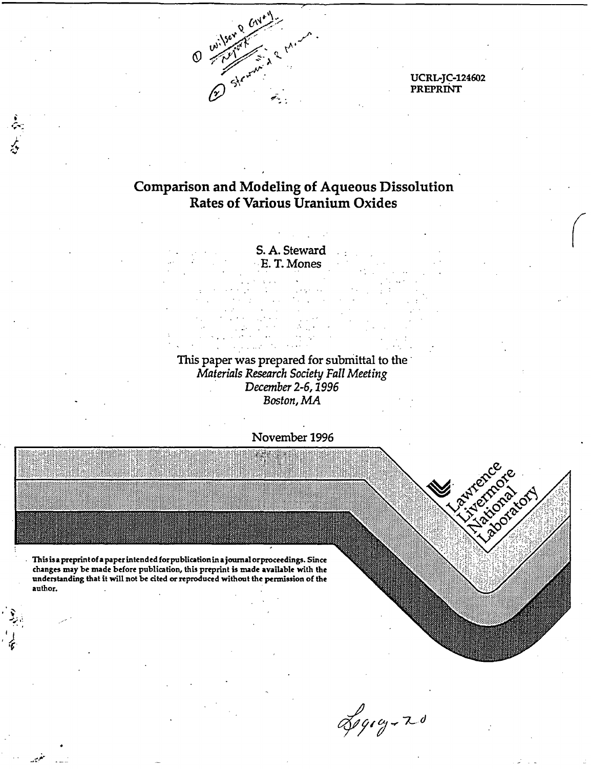

**UCRL-JC-124602** PREPRINT

## **Comparison and Modeling of Aqueous Dissolution Rates of Various Uranium Oxides**

S. A. Steward E.T. Mones

This paper was prepared for submittal to the Materials Research Society Fall Meeting December 2-6, 1996 Boston, MA



Logog-20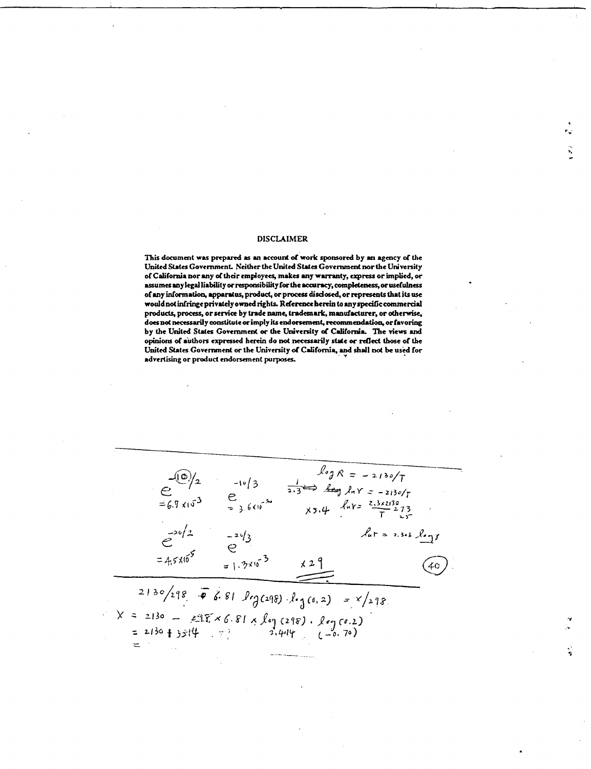#### **DISCLAIMER**

This document was prepared as an account of work sponsored by an agency of the United States Government. Neither the United States Government nor the University of California nor any of their employees, makes any warranty, express or implied, or assumes any legal liability or responsibility for the accuracy, completeness, or usefulness of any information, apparatus, product, or process disclosed, or represents that its use would not infringe privately owned rights. Reference herein to any specific commercial products, process, or service by trade name, trademark, manufacturer, or otherwise, does not necessarily constitute or imply its endorsement, recommendation, or favoring by the United States Government or the University of California. The views and opinions of authors expressed herein do not necessarily state or reflect those of the United States Government or the University of California, and shall not be used for advertising or product endorsement purposes.

 $\int_{0}^{1} \int_{0}^{1} f(x) dx = -2130/T$ <br>  $\frac{1}{2.3}$ <br>  $\frac{1}{2.3}$ <br>  $\frac{1}{2.3}$ <br>  $\frac{1}{2.3}$ <br>  $\frac{1}{2.3}$ <br>  $\frac{1}{2.3}$ <br>  $\frac{1}{2.3}$ <br>  $\frac{1}{2.3}$ <br>  $\frac{1}{2.3}$  $-10/3$  $e^{-20/2}$  $lar = 2.3.3.3 log f$  $e^{-2\sqrt{3}}$  $=4.5\times10^{5}$  $=1.3\times10^{-3}$ 40  $2130/298$   $\overline{\bullet}$  6.81 leg(298) leg(0,2) = x/298  $X = 2130 - 215 \times 6.81 \times \log(218) \cdot \log(6.2)$ <br>= 2130 + 3514 - 21414 (-0.70)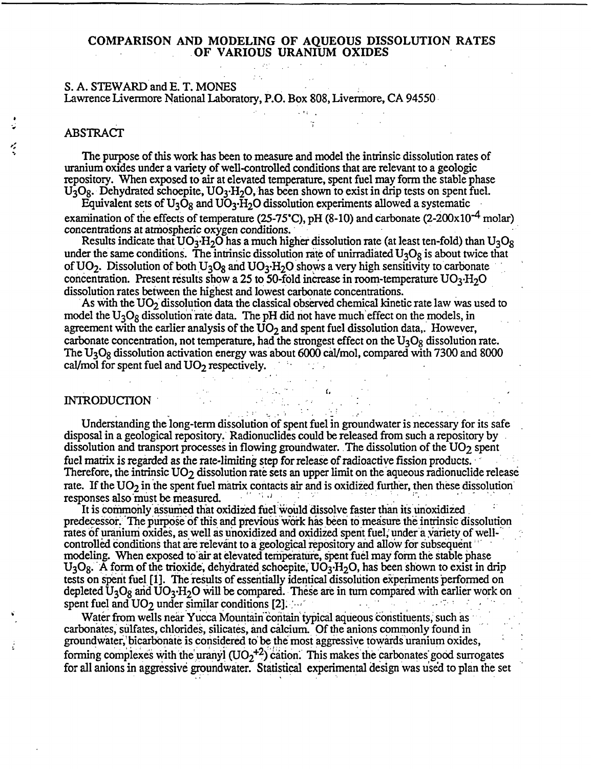#### COMPARISON AND MODELING OF AQUEOUS DISSOLUTION RATES OF VARIOUS URANIUM OXIDES

## S. A. STEWARD and E. T. MONES

Lawrence Livermore National Laboratory, P.O. Box 808, Livermore, CA 94550

## ABSTRACT

The purpose of this work has been to measure and model the intrinsic dissolution rates of uranium oxides under a variety of well-controlled conditions that are relevant to a geologic repository. When exposed to air at elevated temperature, spent fuel may form the stable phase  $U_3O_8$ . Dehydrated schoepite,  $UO_3·H_2O$ , has been shown to exist in drip tests on spent fuel.

Equivalent sets of  $U_3O_8$  and  $U_3H_2O$  dissolution experiments allowed a systematic examination of the effects of temperature (25-75°C), pH (8-10) and carbonate (2-200 $\times$ 10<sup>-4</sup> molar) concentrations at atmospheric oxygen conditions.

Results indicate that  $UO_3$   $H_2O$  has a much higher dissolution rate (at least ten-fold) than  $U_3O_8$ under the same conditions. The intrinsic dissolution rate of unirradiated  $U_3O_8$  is about twice that of UO<sub>2</sub>. Dissolution of both U<sub>3</sub>O<sub>8</sub> and UO<sub>3</sub>. H<sub>2</sub>O shows a very high sensitivity to carbonate concentration. Present results show a 25 to 50-fold increase in room-temperature  $UO_3$ -H<sub>2</sub>O dissolution rates between the highest and lowest carbonate concentrations.

As with the  $UO<sub>2</sub>$  dissolution data the classical observed chemical kinetic rate law was used to model the  $U_3O_8$  dissolution rate data. The pH did not have much effect on the models, in agreement with the earlier analysis of the  $\overline{UO}_2$  and spent fuel dissolution data,. However, carbonate concentration, not temperature, had the strongest effect on the  $U_3O_8$  dissolution rate. The  $U_3O_8$  dissolution activation energy was about 6000 cal/mol, compared with 7300 and 8000 cal/mol for spent fuel and  $UO<sub>2</sub>$  respectively.

## INTRODUCTION

Understanding the long-term dissolution of spent fuel in groundwater is necessary for its safe disposal in a geological repository.' Radionuclides could be released from such a repository by dissolution and transport processes in flowing groundwater. The dissolution of the UO<sub>2</sub> spent fuel matrix is regarded as the rate-limiting step for release of radioactive fission products. Therefore, the intrinsic  $UO<sub>2</sub>$  dissolution rate sets an upper limit on the aqueous radionuclide release rate. If the  $UO<sub>2</sub>$  in the spent fuel matrix contacts air and is oxidized further, then these dissolution responses also'must be measured.

It is commonly assumed that oxidized fuel would dissolve faster than its unoxidized predecessor. The purpose of this and previous work has been to measure the intrinsic dissolution rates of uranium oxides, as well as unoxidized and oxidized spent fuel, under a variety of wellcontrolled conditions that are relevant to a geological repository and allow for subsequent modeling. When exposed to'air at elevated temperature, spent fuel may form the stable phase  $U_3O_8$ . A form of the trioxide, dehydrated schoepite,  $UO_3$ -H<sub>2</sub>O, has been shown to exist in drip tests on spent fuel [1]. The results of essentially identical dissolution experiments performed on depleted  $U_3O_8$  and  $UO_3H_2O$  will be compared. These are in turn compared with earlier work on spent fuel and  $UO_8$  under similar conditions  $[2]$ spent fuel and  $UO<sub>2</sub>$  under similar conditions [2].

Water from wells near Yucca Mountain contain typical aqueous constituents, such as carbonates, sulfates, chlorides, silicates, and calcium. Of the anions commonly found in groundwater; bicarbonate is considered to be the most aggressive towards uranium oxides, forming complexes with the uranyl  $(UO_2<sup>+2</sup>)$  cation. This makes the carbonates good surrogates for all anions in aggressive groundwater. Statistical experimental design was uised to plan the set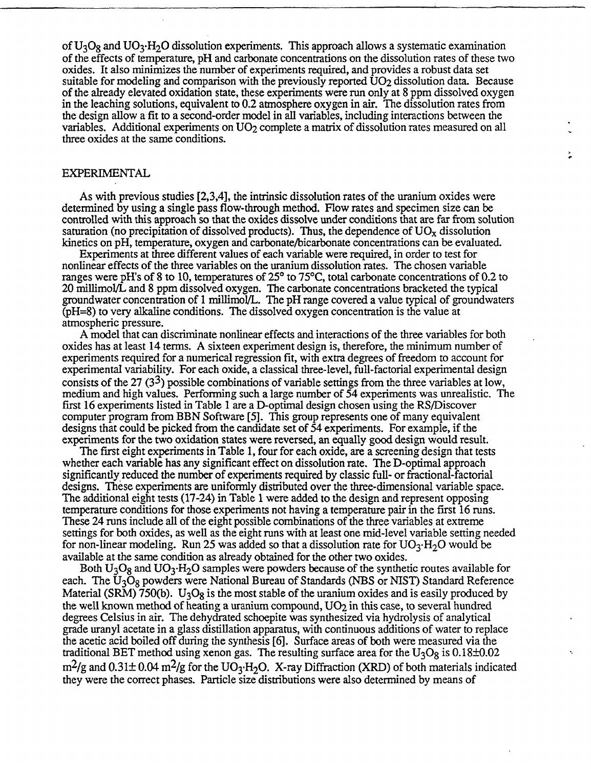of  $U_3O_8$  and  $UO_3·H_2O$  dissolution experiments. This approach allows a systematic examination of the effects of temperature, pH and carbonate concentrations on the dissolution rates of these two oxides. It also minimizes the number of experiments required, and provides a robust data set suitable for modeling and comparison with the previously reported  $UO<sub>2</sub>$  dissolution data. Because of the already elevated oxidation state, these experiments were run only at 8 ppm dissolved oxygen in the leaching solutions, equivalent to 0.2 atmosphere oxygen in air. The dissolution rates from the design allow a fit to a second-order model in all variables, including interactions between the variables. Additional experiments on UO<sub>2</sub> complete a matrix of dissolution rates measured on all three oxides at the same conditions.

#### EXPERIMENTAL

----------

As with previous studies [2,3,4], the intrinsic dissolution rates of the uranium oxides were determined by using a single pass flow-through method. Flow rates and specimen size can be controlled with this approach so that the oxides dissolve under conditions that are far from solution saturation (no precipitation of dissolved products). Thus, the dependence of  $UO<sub>x</sub>$  dissolution kinetics on pH, temperature, oxygen and carbonate/bicarbonate concentrations can be evaluated.

Experiments at three different values of each variable were required, in order to test for nonlinear effects of the three variables on the uranium dissolution rates. The chosen variable ranges were pH's of 8 to 10, temperatures of 25<sup>o</sup> to 75<sup>o</sup>C, total carbonate concentrations of 0.2 to 20 millimol/L and 8 ppm dissolved oxygen. The carbonate concentrations bracketed the typical groundwater concentration of 1 millimol/L. The pH range covered a value typical of groundwaters (pH=8) to very alkaline conditions. The dissolved oxygen concentration is the value at atmospheric pressure.

A model that can discriminate nonlinear effects and interactions of the three variables for both oxides has at least 14 terms. A sixteen experiment design is, therefore, the minimum number of experiments required for a numerical regression fit, with extra degrees of freedom to account for experimental variability. For each oxide, a classical three-level, full-factorial experimental design consists of the 27  $(3^3)$  possible combinations of variable settings from the three variables at low, medium and high values. Performing such a large number of 54 experiments was unrealistic. The first 16 experiments listed in Table 1 are a D-optimal design chosen using the RS/Discover computer program from BBN Software [5]. This group represents one of many equivalent designs that could be picked from the candidate set of 54 experiments. For example, if the experiments for the two oxidation states were reversed, an equally good design would result.

The first eight experiments in Table 1, four for each oxide, are a screening design that tests whether each variable has any significant effect on dissolution rate. The D-optimal approach significantly reduced the number of experiments required by classic full- or fractional-factorial designs. These experiments are uniformly distributed over the three-dimensional variable space. The additional eight tests (17-24) in Table 1 were added to the design and represent opposing temperature conditions for those experiments not having a temperature pair in the first 16 runs. These 24 runs include all of the eight possible combinations of the three variables at extreme settings for both oxides, as well as the eight runs with at least one mid-level variable setting needed for non-linear modeling. Run 25 was added so that a dissolution rate for  $\rm UO_3\text{-}H_2O$  would be available at the same condition as already obtained for the other two oxides.

Both  $U_3O_8$  and  $UO_3·H_2O$  samples were powders because of the synthetic routes available for each. The  $\overline{U}_3\overline{O}_8$  powders were National Bureau of Standards (NBS or NIST) Standard Reference Material (SRM) 750(b). U<sub>3</sub>O<sub>8</sub> is the most stable of the uranium oxides and is easily produced by the well known method of heating a uranium compound,  $UO<sub>2</sub>$  in this case, to several hundred degrees Celsius in air. The dehydrated schoepite was synthesized via hydrolysis of analytical grade uranyl acetate in a glass distillation apparatus, with continuous additions of water to replace the acetic acid boiled off during the synthesis [6]. Surface areas of both were measured via the traditional BET method using xenon gas. The resulting surface area for the  $U_3O_8$  is 0.18 $\pm$ 0.02  $m^2/g$  and  $0.31 \pm 0.04$   $m^2/g$  for the UO<sub>3</sub>·H<sub>2</sub>O. X-ray Diffraction (XRD) of both materials indicated they were the correct phases. Particle size distributions were also determined by means of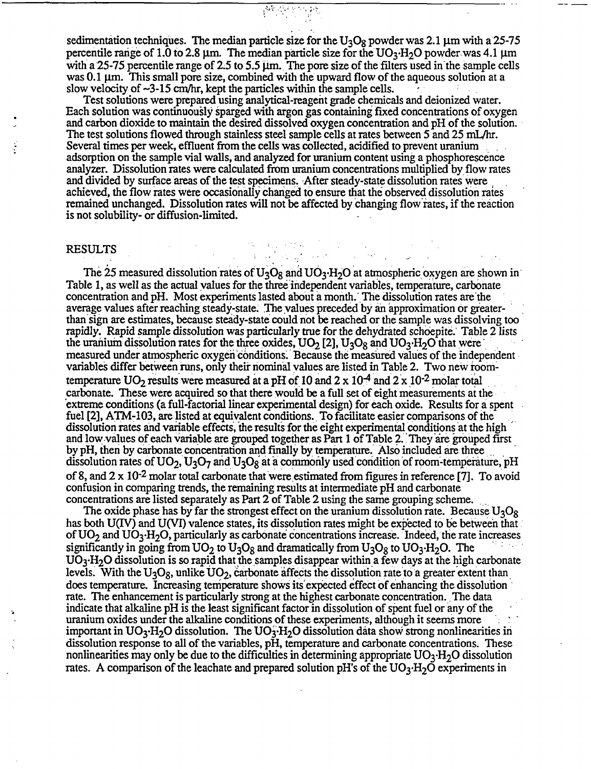sedimentation techniques. The median particle size for the  $U_3O_8$  powder was 2.1 µm with a 25-75 percentile range of 1.0 to 2.8  $\mu$ m. The median particle size for the UO<sub>3</sub>  $H_2O$  powder was 4.1  $\mu$ m with a 25-75 percentile range of 2.5 to 5.5  $\mu$ m. The pore size of the filters used in the sample cells was 0.1  $\mu$ m. This small pore size, combined with the upward flow of the aqueous solution at a slow velocity of  $\sim$ 3-15 cm/hr, kept the particles within the sample cells.

普遍的统

...

Test solutions were prepared using analytical-reagent grade chemicals and deionized water. Each solution was continuously sparged with argon gas containing fixed concentrations of oxygen and carbon dioxide to maintain the desired dissolved oxygen concentration and pH of the solution. The test solutions flowed through stainless steel sample cells at rates between *5* and 25 mL/hr. Several times per week, effluent from the cells was collected, acidified to prevent uranium adsorption on the sample vial walls, and analyzed for uranium content using a phosphorescence analyzer. Dissolution rates were calculated from uranium concentrations multiplied by flow rates and divided by surface areas of the test specimens. After steady-state dissolution rates were achieved, the flow rates were occasionally changed to ensure that the observed dissolution rates remained unchanged. Dissolution rates will not be affected by changing flow'rates, if the reaction is not solubility- or diffusion-limited.

an an Amhair Contae ann an 1971.<br>Tha an Anglia An Aonaichte an Chair

#### RESULTS

The 25 measured dissolution rates of  $U_3O_8$  and  $UO_3·H_2O$  at atmospheric oxygen are shown in Table 1, as well as the actual values for the three independent variables, temperature, carbonate concentration and pH. Most experiments lasted about a month.' The dissolution rates are'the average values after reaching steady-state. The values preceded by an approximation or greaterthan sign are estimates, because steady-state could not be reached or the sample was dissolving too rapidly. Rapid sample dissolution was particularly true for the dehydrated schoepite.' Table 2 lists the uranium dissolution rates for the three oxides,  $UO_2$  [2],  $U_3O_8$  and  $UO_3·H_2O$  that were measured under atmospheric oxygen conditions. Because the measured values of the independent variables differ between runs, only their nominal values are listed in Table 2. Two new roomtemperature  $UO_2$  results were measured at a pH of 10 and 2 x 10<sup>-4</sup> and 2 x 10<sup>-2</sup> molar total carbonate. These were acquired so that there would be a full set of eight measurements at the extreme conditions (a full-factorial linear experimental design) for each oxide. Results for a spent fuel [2], ATM-103, are listed at equivalent conditions. To facilitate easier comparisons of the dissolution rates and variable effects, the results for the eight experimental conditions at the high and low values of each variable are grouped together as Part 1 of Table 2. They are grouped first by pH, then by carbonate concentration and finally by temperature.' Also included are three dissolution rates of  $UO_2$ ,  $U_3O_7$  and  $U_3O_8$  at a commonly used condition of room-temperature, pH of 8, and  $2 \times 10^{-2}$  molar total carbonate that were estimated from figures in reference [7]. To avoid confusion in comparing trends, the remaining results at intermediate pH and carbonate concentrations are listed separately as Part 2 of Table 2 using the same grouping scheme.

The oxide phase has by far the strongest effect on the uranium dissolution rate. Because  $U_3O_8$ has both U(IV) and U(VI) valence states, its dissolution rates might be expected to be between that of  $UO_2$  and  $UO_3$ -H<sub>2</sub>O, particularly as carbonate concentrations increase. Indeed, the rate increases significantly in going from  $UO_2$  to  $U_3O_8$  and dramatically from  $U_3O_8$  to  $UO_3$ -H<sub>2</sub>O. The  $UO_3$   $H_2O$  dissolution is so rapid that the samples disappear within a few days at the high carbonate levels. With the  $U_3O_8$ , unlike  $UO_2$ , carbonate affects the dissolution rate to a greater extent than does temperature. Increasing temperature shows its expected effect of enhancing the dissolution rate. The enhancement is particularly strong at the highest carbonate concentration. The data indicate that alkaline pH is the least significant factor in dissolution of spent fuel or any of the uranium oxides under the alkaline conditions of these experiments, although it seems more important in  $UO_3$ -H<sub>2</sub>O dissolution. The  $UO_3$ -H<sub>2</sub>O dissolution data show strong nonlinearities in dissolution response to all of the variables, pH, temperature and carbonate concentrations. These nonlinearities may only be due to the difficulties in determining appropriate  $UO_3 \cdot H_2O$  dissolution rates. A comparison of the leachate and prepared solution pH's of the  $UO_3$ -H<sub>2</sub>O experiments in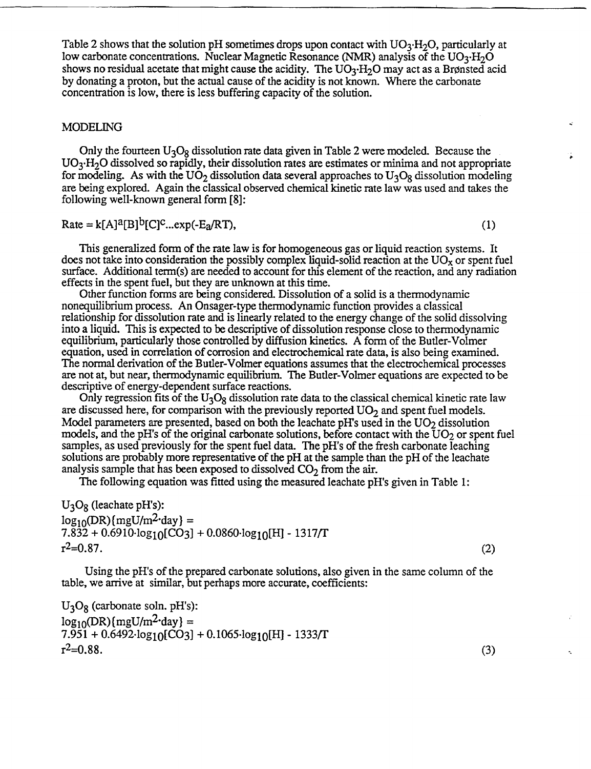Table 2 shows that the solution pH sometimes drops upon contact with  $UO_3$ -H<sub>2</sub>O, particularly at low carbonate concentrations. Nuclear Magnetic Resonance (NMR) analysis of the  $UO_3·H_2O$ shows no residual acetate that might cause the acidity. The  $UO_3$ -H<sub>2</sub>O may act as a Brønsted acid by donating a proton, but the actual cause of the acidity is not known. Where the carbonate concentration is low, there is less buffering capacity of the solution.

#### MODELING

Only the fourteen  $U_3O_8$  dissolution rate data given in Table 2 were modeled. Because the  $UO_3$  H<sub>2</sub>O dissolved so rapidly, their dissolution rates are estimates or minima and not appropriate for modeling. As with the UO<sub>2</sub> dissolution data several approaches to U<sub>3</sub>O<sub>8</sub> dissolution modeling are being explored. Again the classical observed chemical kinetic rate law was used and takes the following well-known general form [8]:

 $Rate = k[A]^a[B]^b[C]^c...exp(-E_a/RT),$  (1)

This generalized form of the rate law is for homogeneous gas or liquid reaction systems. It does not take into consideration the possibly complex liquid-solid reaction at the  $UO_X$  or spent fuel surface. Additional term(s) are needed to account for this element of the reaction, and any radiation effects in the spent fuel, but they are unknown at this time.

Other function forms are being considered. Dissolution of a solid is a thermodynamic nonequilibrium process. An Onsager-type thermodynamic function provides a classical relationship for dissolution rate and is linearly related to the energy change of the solid dissolving into a liquid. This is expected to be descriptive of dissolution response close to thermodynamic equilibrium, particularly those controlled by diffusion kinetics. A form of the Butler-Volmer equation, used in correlation of corrosion and electrochemical rate data, is also being examined. The normal derivation of the Butler-Volmer equations assumes that the electrochemical processes are not at, but near, thermodynamic equilibrium. The Butler-Volmer equations are expected to be descriptive of energy-dependent surface reactions.

Only regression fits of the  $U_3O_8$  dissolution rate data to the classical chemical kinetic rate law are discussed here, for comparison with the previously reported  $UO<sub>2</sub>$  and spent fuel models. Model parameters are presented, based on both the leachate  $pH$ 's used in the  $UO<sub>2</sub>$  dissolution models, and the pH's of the original carbonate solutions, before contact with the  $UO<sub>2</sub>$  or spent fuel samples, as used previously for the spent fuel data. The pH's of the fresh carbonate leaching solutions are probably more representative of the pH at the sample than the pH of the leachate analysis sample that has been exposed to dissolved  $CO<sub>2</sub>$  from the air.

The following equation was fitted using the measured leachate pH's given in Table 1:

 $U_3O_8$  (leachate pH's):  $log_{10}(DR)$ [mgU/m<sup>2</sup>·day] =  $7.832 + 0.6910 \cdot \log_{10}[\text{CO}_3] + 0.0860 \cdot \log_{10}[\text{H}] - 1317/\text{T}$  $r^2 = 0.87.$  (2)

Using the pH's of the prepared carbonate solutions, also given in the same column of the table, we arrive at similar, but perhaps more accurate, coefficients:

 $U_3O_8$  (carbonate soln. pH's):  $log_{10}(DR)(mgU/m^2$  day } =  $7.951 + 0.6492 \log_{10}[\text{CO}3] + 0.1065 \log_{10}[H] - 1333/T$  $r^2=0.88.$  (3)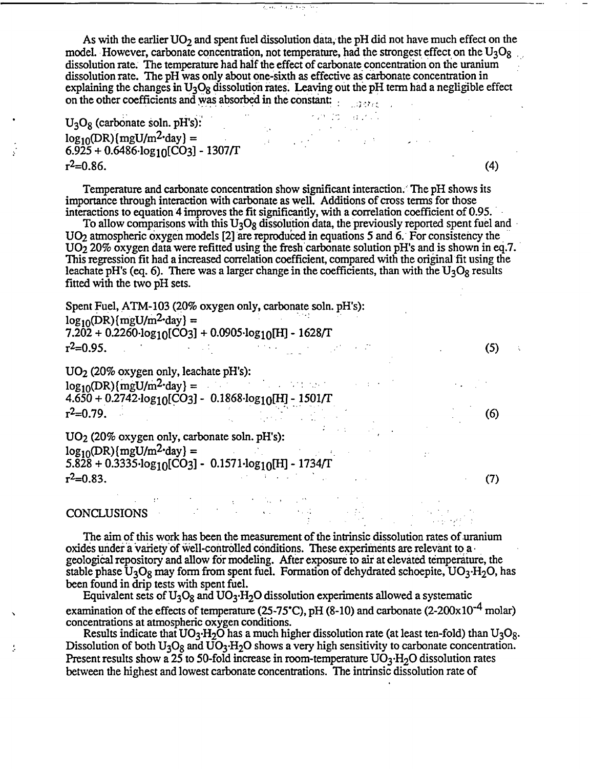As with the earlier  $UO<sub>2</sub>$  and spent fuel dissolution data, the pH did not have much effect on the model. However, carbonate concentration, not temperature, had the strongest effect on the  $U_3O_8$ dissolution rate. The temperature had half the effect of carbonate concentration on the uranium dissolution rate. The pH was only about one-sixth as effective as carbonate concentration in explaining the changes in  $U_3O_8$  dissolution rates. Leaving out the pH term had a negligible effect on the other coefficients and was absorbed in the constant:

kymint i arvilli

 $\overline{4.5}$ 

U<sub>3</sub>O<sub>8</sub> (carbonate soln. pH's):  $\log_{10}(\text{DR})$ {mgU/m<sup>2</sup>·day} =  $6.\overline{925} + 0.\overline{6486} \cdot \log_{10}[\overline{CO_3}] - 1307/\Gamma$  $r^2=0.86$ . (4)

Temperature and carbonate concentration show significant interaction. The pH shows its importance through interaction with carbonate as well. Additions of cross terms for those interactions to equation 4 improves the fit significantly, with a correlation coefficient of 0.95.

To allow comparisons with this  $U_3O_8$  dissolution data, the previously reported spent fuel and UO<sub>2</sub> atmospheric oxygen models [2] are reproduced in equations 5 and 6. For consistency the  $UO<sub>2</sub>$  20% oxygen data were refitted using the fresh carbonate solution pH's and is shown in eq.7. This regression fit had a increased correlation coefficient, compared with the original fit using the leachate pH's (eq. 6). There was a larger change in the coefficients, than with the  $U_3O_8$  results fitted with the two pH sets.

Spent Fuel, ATM-103 (20% oxygen only, carbonate soln. pH's):  $\log_{10}$ (DR) {mgU/m<sup>2</sup> day} =  $7.202 + 0.2260 \cdot \log_{10}[\text{CO3}] + 0.0905 \cdot \log_{10}[\text{H}] - 1628/\text{T}$  $r^2 = 0.95.$  (5)

U02 (20% oxygen only, leachate pH's):  $log_{10}(DR)(mgU/m^2$  day} = 4.650 + 0.2742·log<sub>10</sub>[CO3] - 0.1868·log<sub>10</sub>[H] - 1501/T  $r^2$ =0.79. (6)

U02 (20% oxygen only, carbonate soln. pH's):  $\log_{10}(\text{DR}) \{\text{mgU/m}^2\text{-day}\} =$ 5.828 + 0.3335·log<sub>10</sub>[CO3] - 0.1571·log<sub>10</sub>[H] - 1734/I  $r^2 = 0.83.$  (7)

# CONCLUSIONS

The aim of this work has been the measurement of the intrinsic dissolution rates of uranium oxides under a variety of well-controlled conditions. These experiments are relevant to a geological repository and allow for modeling. After exposure to air at elevated temperature, the stable phase  $U_3O_8$  may form from spent fuel. Formation of dehydrated schoepite,  $UO_3·H_2O$ , has been found in drip tests with spent fuel.

Equivalent sets of  $U_3O_8$  and  $UO_3·H_2O$  dissolution experiments allowed a systematic examination of the effects of temperature (25-75°C), pH (8-10) and carbonate (2-200 $\times$ 10<sup>-4</sup> molar) concentrations at atmospheric oxygen conditions.

Results indicate that  $UO_3$ -H<sub>2</sub>O has a much higher dissolution rate (at least ten-fold) than  $U_3O_8$ . Dissolution of both  $U_3O_8$  and  $\overline{UO_3 \cdot H_2O}$  shows a very high sensitivity to carbonate concentration. Present results show a  $25$  to 50-fold increase in room-temperature  $UO_3$ -H<sub>2</sub>O dissolution rates between the highest and lowest carbonate concentrations. The intrinsic dissolution rate of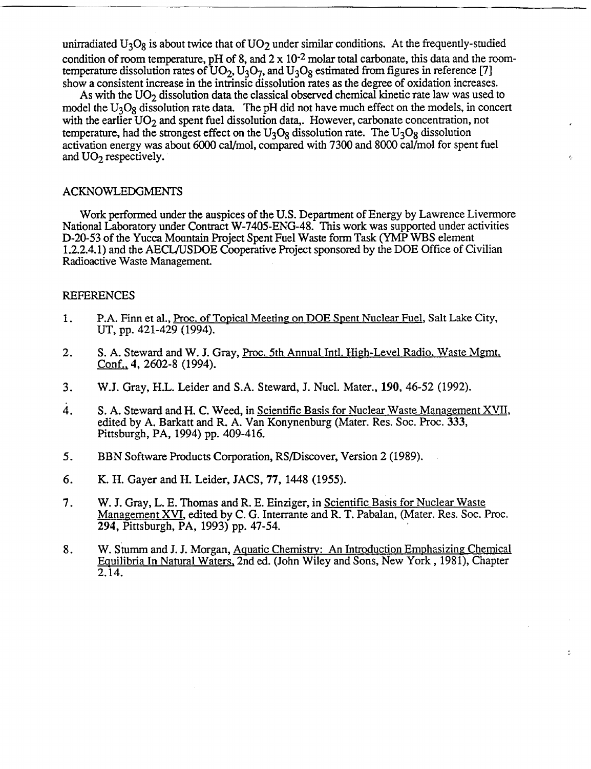unirradiated  $U_3O_8$  is about twice that of  $UO_2$  under similar conditions. At the frequently-studied condition of room temperature, pH of 8, and  $2 \times 10^{-2}$  molar total carbonate, this data and the roomtemperature dissolution rates of  $UO<sub>2</sub>, U<sub>3</sub>O<sub>7</sub>$ , and  $U<sub>3</sub>O<sub>8</sub>$  estimated from figures in reference [7] show a consistent increase in the intrinsic dissolution rates as the degree of oxidation increases.

As with the  $UO<sub>2</sub>$  dissolution data the classical observed chemical kinetic rate law was used to model the  $U_3O_8$  dissolution rate data. The pH did not have much effect on the models, in concert with the earlier  $UO<sub>2</sub>$  and spent fuel dissolution data,. However, carbonate concentration, not temperature, had the strongest effect on the  $U_3O_8$  dissolution rate. The  $U_3O_8$  dissolution activation energy was about 6000 cal/mol, compared with 7300 and 8000 cal/mol for spent fuel and  $UO<sub>2</sub>$  respectively.

#### ACKNOWLEDGMENTS

Work performed under the auspices of the U.S. Department of Energy by Lawrence Livermore National Laboratory under Contract W-7405-ENG-48. This work was supported under activities D-20-53 of the Yucca Mountain Project Spent Fuel Waste form Task (YMP WBS element 1.2.2.4.1) and the AECL/USDOE Cooperative Project sponsored by the DOE Office of Civilian Radioactive Waste Management.

### REFERENCES

- 1. P.A. Finn et al., Proc. of Topical Meeting on DOE Spent Nuclear Fuel, Salt Lake City, UT, pp. 421-429 (1994).
- 2. S. A. Steward and W. J. Gray, Proc. 5th Annual Intl. High-Level Radio. Waste Mgmt. Conf., 4, 2602-8 (1994).
- 3. W.J. Gray, H.L. Leider and S.A. Steward, J. Nucl. Mater., 190, 46-52 (1992).
- 4. S. A. Steward and H. C. Weed, in Scientific Basis for Nuclear Waste Management XVII, edited by A. Barkatt and R. A. Van Konynenburg (Mater. Res. Soc. Proc. 333, Pittsburgh, PA, 1994) pp. 409-416.
- *5.* BBN Software Products Corporation, RS/Discover, Version 2 (1989).
- 6. K. H. Gayer and H. Leider, JACS, 77, 1448 (1955).
- 7. W. J. Gray, L. E. Thomas and R. E. Einziger, in Scientific Basis for Nuclear Waste Management XVI, edited by C. G. Interrante and R. T. Pabalan, (Mater. Res. Soc. Proc. 294, Pittsburgh, PA, 1993) pp. 47-54.
- 8. W. Stumm and J. J. Morgan, Aquatic Chemistry: An Introduction Emphasizing Chemical Equilibria In Natural Waters. 2nd ed. (John Wiley and Sons, New York, 1981), Chapter 2.14.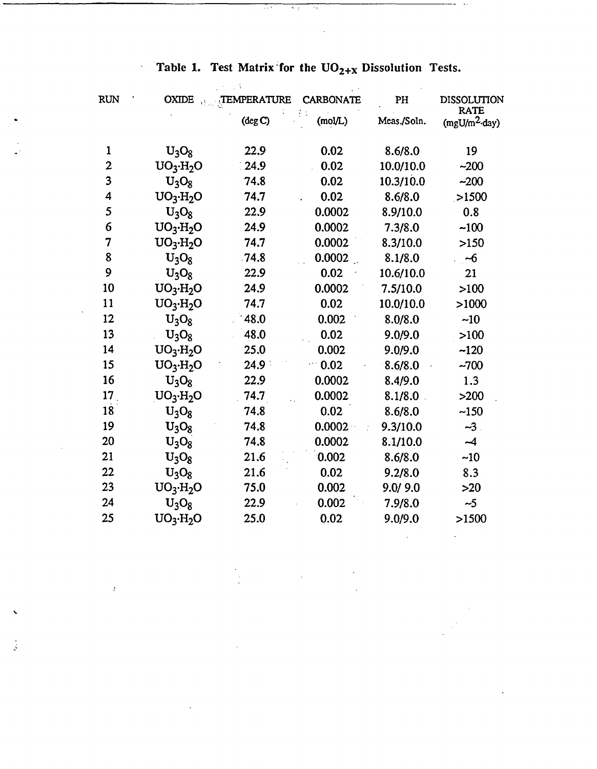Table 1. Test Matrix for the  $UO_{2+X}$  Dissolution Tests.

 $\overline{\mathcal{H}}$ 

 $\overline{\mathbb{R}^2}$ 

स्त्र

 $\ddot{\phantom{0}}$ 

 $\iota$ 

 $\frac{1}{2}$ 

 $\overline{\phantom{a}}$  .

| <b>RUN</b>              | <b>OXIDE</b>      | TEMPERATURE | <b>CARBONATE</b> | PH          | <b>DISSOLUTION</b>             |
|-------------------------|-------------------|-------------|------------------|-------------|--------------------------------|
|                         |                   | $(\deg C)$  | (mod(L)          | Meas./Soln. | <b>RATE</b><br>$(mgU/m2$ -day) |
| $\mathbf{1}$            | $U_3O_8$          | 22.9        | 0.02             | 8.6/8.0     | 19                             |
| $\mathbf{2}$            | $UO_3·H_2O$       | 24.9        | 0.02             | 10.0/10.0   | $-200$                         |
| $\overline{\mathbf{3}}$ | $U_3O_8$          | 74.8        | 0.02             | 10.3/10.0   | $-200$                         |
| 4                       | $UO_3·H_2O$       | 74.7        | 0.02             | 8.6/8.0     | >1500                          |
| 5                       | $U_3O_8$          | 22.9        | 0.0002           | 8.9/10.0    | 0.8                            |
| 6                       | $UO_3·H_2O$       | 24.9        | 0.0002           | 7.3/8.0     | $-100$                         |
| 7                       | $UO_3·H_2O$       | 74.7        | 0.0002           | 8.3/10.0    | >150                           |
| 8                       | $U_3O_8$          | .74.8       | 0.0002           | 8.1/8.0     | $-6$                           |
| 9                       | $U_3O_8$          | 22.9        | 0.02             | 10.6/10.0   | 21                             |
| 10                      | $UO_3·H_2O$       | 24.9        | 0.0002           | 7.5/10.0    | >100                           |
| 11                      | $UO_3·H_2O$       | 74.7        | 0.02             | 10.0/10.0   | >1000                          |
| 12                      | $U_3O_8$          | 48.0        | 0.002            | 8.0/8.0     | ~10                            |
| 13                      | $U_3O_8$          | 48.0        | 0.02             | 9.0/9.0     | >100                           |
| 14                      | $UO_3·H_2O$       | 25.0        | 0.002            | 9.0/9.0     | $-120$                         |
| 15                      | $UO_3·H_2O$       | 24.9        | 0.02             | 8.6/8.0     | $-700$                         |
| 16                      | $U_3O_8$          | 22.9        | 0.0002           | 8.4/9.0     | 1.3                            |
| 17                      | $UO_3·H_2O$       | 74.7        | 0.0002           | 8.1/8.0     | $>200$                         |
| 18                      | $U_3O_8$          | 74.8        | 0.02             | 8.6/8.0     | $-150$                         |
| 19                      | $U_3O_8$          | 74.8        | 0.0002           | 9.3/10.0    | $-3$ .                         |
| 20                      | $U_3O_8$          | 74.8        | 0.0002           | 8.1/10.0    | $-4$                           |
| 21                      | $U_3O_8$          | 21.6        | 0.002            | 8.6/8.0     | $-10$                          |
| 22                      | $U_3O_8$          | 21.6        | 0.02             | 9.2/8.0     | 8.3                            |
| 23                      | $UO_3·H_2O$       | 75.0        | 0.002            | 9.0/9.0     | $>20$                          |
| 24                      | $U_3O_8$          | 22.9        | 0.002            | 7.9/8.0     | $-5$                           |
| 25                      | $UO_3 \cdot H_2O$ | 25.0        | 0.02             | 9.0/9.0     | >1500                          |
|                         |                   |             |                  |             |                                |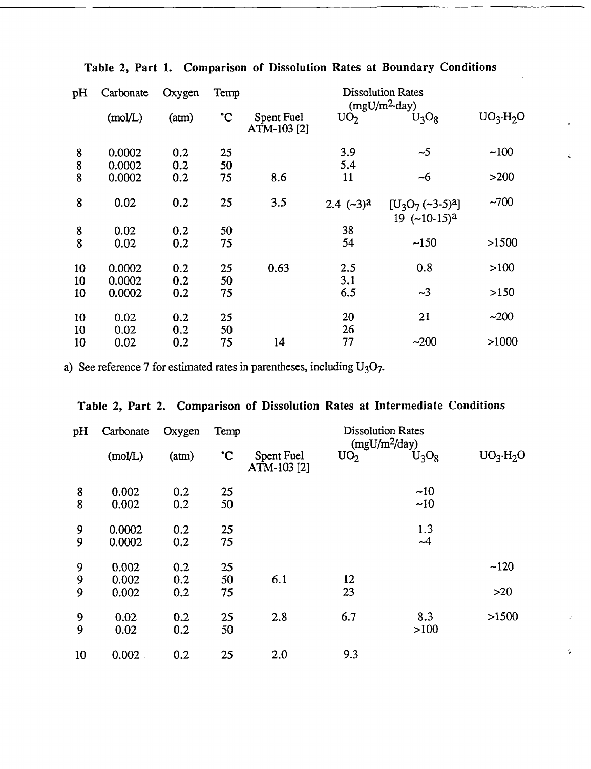| pH       | Carbonate        | Oxygen     | Temp         | <b>Dissolution Rates</b><br>$(mgU/m^2$ -day) |                 |                                         |             |  |
|----------|------------------|------------|--------------|----------------------------------------------|-----------------|-----------------------------------------|-------------|--|
|          | (mod/L)          | (am)       | $\mathbf{C}$ | Spent Fuel<br>ATM-103 [2]                    | UO <sub>2</sub> | $U_3O_8$                                | $UO_3·H_2O$ |  |
| 8<br>8   | 0.0002<br>0.0002 | 0.2<br>0.2 | 25<br>50     |                                              | 3.9<br>5.4      | $\sim$ 5                                | $-100$      |  |
| 8        | 0.0002           | 0.2        | 75           | 8.6                                          | 11              | ~6                                      | >200        |  |
| 8        | 0.02             | 0.2        | 25           | 3.5                                          | 2.4 $(-3)^a$    | $[U_3O_7(-3-5)^3]$<br>$19$ $(-10-15)^a$ | $-700$      |  |
| 8        | 0.02             | 0.2        | 50           |                                              | 38              |                                         |             |  |
| 8        | 0.02             | 0.2        | 75           |                                              | 54              | $-150$                                  | >1500       |  |
| 10       | 0.0002           | 0.2        | 25           | 0.63                                         | 2.5             | 0.8                                     | >100        |  |
| 10<br>10 | 0.0002<br>0.0002 | 0.2<br>0.2 | 50<br>75     |                                              | 3.1<br>6.5      | $\sim$ 3                                | >150        |  |
|          |                  |            |              |                                              |                 |                                         |             |  |
| 10       | 0.02             | 0.2        | 25           |                                              | 20              | 21                                      | $-200$      |  |
| 10<br>10 | 0.02<br>0.02     | 0.2<br>0.2 | 50<br>75     | 14                                           | 26<br>77        | $-200$                                  | >1000       |  |
|          |                  |            |              |                                              |                 |                                         |             |  |

# Table 2, Part 1. Comparison of Dissolution Rates at Boundary Conditions

a) See reference 7 for estimated rates in parentheses, including  $U_3O_7$ .

|  |  |  |  |  |  |  | Table 2, Part 2. Comparison of Dissolution Rates at Intermediate Conditions |  |
|--|--|--|--|--|--|--|-----------------------------------------------------------------------------|--|
|--|--|--|--|--|--|--|-----------------------------------------------------------------------------|--|

| pH     | Carbonate        | Oxygen     | Temp         | <b>Dissolution Rates</b><br>$(mgU/m^2/day)$ |                 |             |                   |  |
|--------|------------------|------------|--------------|---------------------------------------------|-----------------|-------------|-------------------|--|
|        | (mol/L)          | (am)       | $\mathbf{C}$ | Spent Fuel<br>ATM-103 [2]                   | UO <sub>2</sub> | $U_3O_8$    | $UO_3 \cdot H_2O$ |  |
| 8<br>8 | 0.002<br>0.002   | 0.2<br>0.2 | 25<br>50     |                                             |                 | ~10<br>~10  |                   |  |
| 9<br>9 | 0.0002<br>0.0002 | 0.2<br>0.2 | 25<br>75     |                                             |                 | 1.3<br>$-4$ |                   |  |
| 9<br>9 | 0.002<br>0.002   | 0.2<br>0.2 | 25<br>50     | 6.1                                         | 12              |             | $-120$            |  |
| 9      | 0.002            | 0.2        | 75           |                                             | 23              |             | $>20$             |  |
| 9<br>9 | 0.02<br>0.02     | 0.2<br>0.2 | 25<br>50     | 2.8                                         | 6.7             | 8.3<br>>100 | >1500             |  |
| 10     | 0.002            | 0.2        | 25           | 2.0                                         | 9.3             |             |                   |  |

¢,